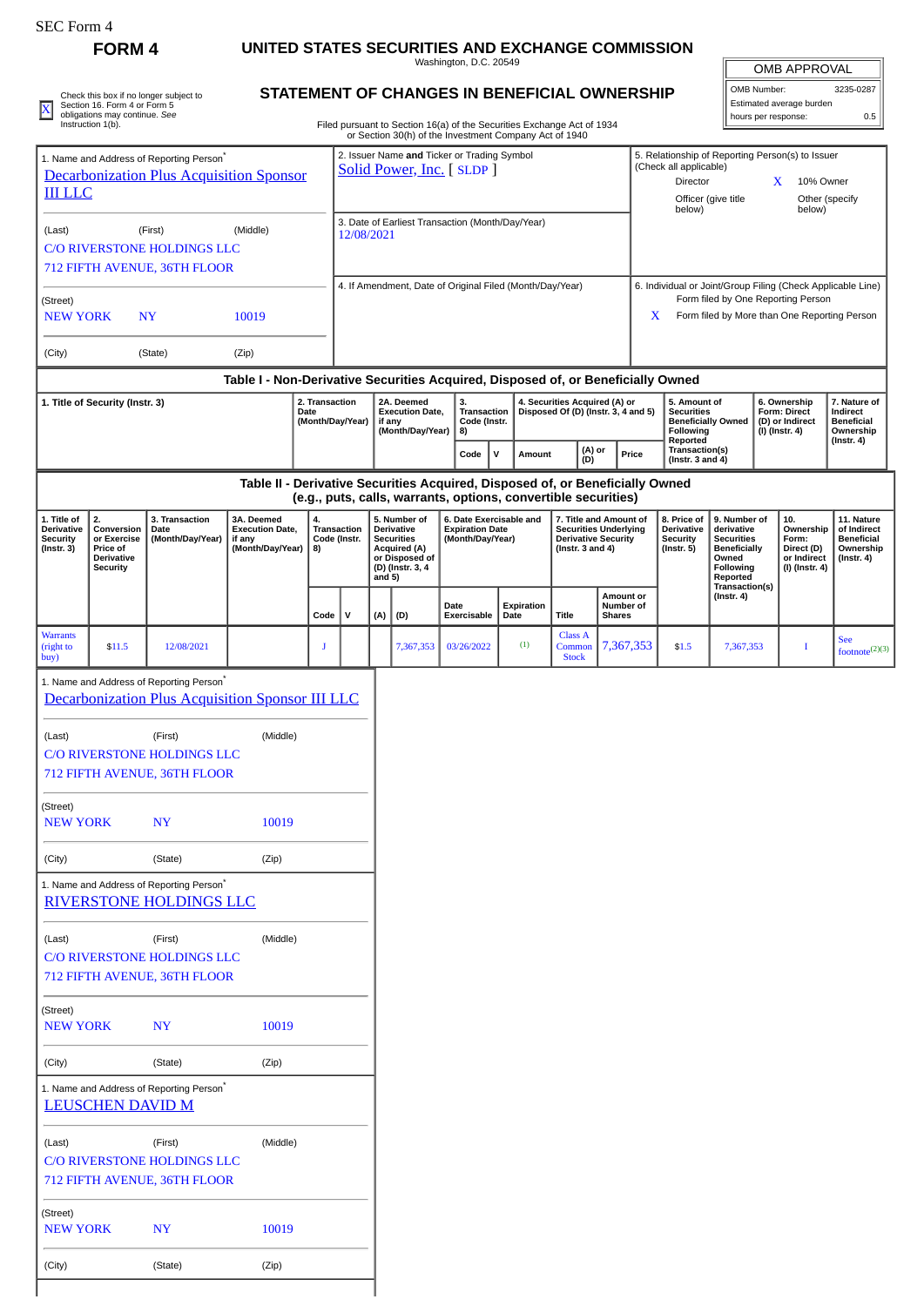| SEC Form 4 |  |
|------------|--|
|            |  |

(City) (State) (Zip)

## **FORM 4** UNITED STATES SECURITIES AND EXCHANGE COMMISSION<br>Washington, D.C. 20549

| <b>OMB APPROVAL</b> |
|---------------------|
|                     |

|                                                                                                                           |                                                                                     |                                                                                                          |                                                                                  |                                                                                                                                                                                              |                                                                                                                                     |          |                                                                                                       | Washington, D.C. 20549                                                                         |   |                    |                                                                                                               |                                                                                                                                                        |                                                                                |                                                                  |                                                                                                          |             | OMB APPROVAL                                                             |                                                                                 |  |
|---------------------------------------------------------------------------------------------------------------------------|-------------------------------------------------------------------------------------|----------------------------------------------------------------------------------------------------------|----------------------------------------------------------------------------------|----------------------------------------------------------------------------------------------------------------------------------------------------------------------------------------------|-------------------------------------------------------------------------------------------------------------------------------------|----------|-------------------------------------------------------------------------------------------------------|------------------------------------------------------------------------------------------------|---|--------------------|---------------------------------------------------------------------------------------------------------------|--------------------------------------------------------------------------------------------------------------------------------------------------------|--------------------------------------------------------------------------------|------------------------------------------------------------------|----------------------------------------------------------------------------------------------------------|-------------|--------------------------------------------------------------------------|---------------------------------------------------------------------------------|--|
|                                                                                                                           | Section 16. Form 4 or Form 5                                                        | Check this box if no longer subject to                                                                   |                                                                                  |                                                                                                                                                                                              |                                                                                                                                     |          |                                                                                                       | STATEMENT OF CHANGES IN BENEFICIAL OWNERSHIP                                                   |   |                    |                                                                                                               |                                                                                                                                                        |                                                                                |                                                                  |                                                                                                          | OMB Number: | Estimated average burden                                                 | 3235-0287                                                                       |  |
| x                                                                                                                         | obligations may continue. See<br>Instruction 1(b).                                  |                                                                                                          |                                                                                  |                                                                                                                                                                                              |                                                                                                                                     |          |                                                                                                       | Filed pursuant to Section 16(a) of the Securities Exchange Act of 1934                         |   |                    |                                                                                                               |                                                                                                                                                        |                                                                                |                                                                  |                                                                                                          |             | hours per response:                                                      | 0.5                                                                             |  |
| 1. Name and Address of Reporting Person <sup>®</sup><br><b>Decarbonization Plus Acquisition Sponsor</b><br><b>III LLC</b> |                                                                                     |                                                                                                          |                                                                                  |                                                                                                                                                                                              | or Section 30(h) of the Investment Company Act of 1940<br>2. Issuer Name and Ticker or Trading Symbol<br>Solid Power, Inc. [ SLDP ] |          |                                                                                                       |                                                                                                |   |                    |                                                                                                               | 5. Relationship of Reporting Person(s) to Issuer<br>(Check all applicable)<br>X<br>Director<br>10% Owner<br>Officer (give title<br>Other (specify      |                                                                                |                                                                  |                                                                                                          |             |                                                                          |                                                                                 |  |
| (Last)                                                                                                                    |                                                                                     | (First)                                                                                                  | (Middle)                                                                         |                                                                                                                                                                                              | 12/08/2021                                                                                                                          |          |                                                                                                       | 3. Date of Earliest Transaction (Month/Day/Year)                                               |   |                    |                                                                                                               |                                                                                                                                                        |                                                                                | below)                                                           |                                                                                                          |             | below)                                                                   |                                                                                 |  |
|                                                                                                                           |                                                                                     | <b>C/O RIVERSTONE HOLDINGS LLC</b><br>712 FIFTH AVENUE, 36TH FLOOR                                       |                                                                                  |                                                                                                                                                                                              |                                                                                                                                     |          |                                                                                                       |                                                                                                |   |                    |                                                                                                               |                                                                                                                                                        |                                                                                |                                                                  |                                                                                                          |             |                                                                          |                                                                                 |  |
| (Street)<br>10019<br><b>NEW YORK</b><br><b>NY</b>                                                                         |                                                                                     |                                                                                                          |                                                                                  |                                                                                                                                                                                              | 4. If Amendment, Date of Original Filed (Month/Day/Year)                                                                            |          |                                                                                                       |                                                                                                |   |                    |                                                                                                               | 6. Individual or Joint/Group Filing (Check Applicable Line)<br>Form filed by One Reporting Person<br>Form filed by More than One Reporting Person<br>X |                                                                                |                                                                  |                                                                                                          |             |                                                                          |                                                                                 |  |
| (City)                                                                                                                    |                                                                                     | (State)                                                                                                  | (Zip)                                                                            |                                                                                                                                                                                              |                                                                                                                                     |          |                                                                                                       |                                                                                                |   |                    |                                                                                                               |                                                                                                                                                        |                                                                                |                                                                  |                                                                                                          |             |                                                                          |                                                                                 |  |
|                                                                                                                           |                                                                                     |                                                                                                          | Table I - Non-Derivative Securities Acquired, Disposed of, or Beneficially Owned |                                                                                                                                                                                              |                                                                                                                                     |          |                                                                                                       |                                                                                                |   |                    |                                                                                                               |                                                                                                                                                        |                                                                                |                                                                  |                                                                                                          |             |                                                                          |                                                                                 |  |
| 2. Transaction<br>1. Title of Security (Instr. 3)<br>Date<br>(Month/Day/Year)                                             |                                                                                     |                                                                                                          |                                                                                  | 2A. Deemed<br>3.<br>4. Securities Acquired (A) or<br><b>Execution Date,</b><br><b>Transaction</b><br>Disposed Of (D) (Instr. 3, 4 and 5)<br>Code (Instr.<br>if any<br>(Month/Day/Year)<br>8) |                                                                                                                                     |          |                                                                                                       | 5. Amount of<br><b>Securities</b><br><b>Beneficially Owned</b><br><b>Following</b><br>Reported |   |                    | 6. Ownership<br>Form: Direct<br>(D) or Indirect<br>(I) (Instr. 4)                                             |                                                                                                                                                        | 7. Nature of<br>Indirect<br><b>Beneficial</b><br>Ownership<br>$($ lnstr. 4 $)$ |                                                                  |                                                                                                          |             |                                                                          |                                                                                 |  |
|                                                                                                                           |                                                                                     |                                                                                                          |                                                                                  |                                                                                                                                                                                              |                                                                                                                                     |          |                                                                                                       | Code                                                                                           | v | Amount             | (A) or<br>(D)                                                                                                 |                                                                                                                                                        | Price                                                                          | Transaction(s)<br>(Instr. $3$ and $4$ )                          |                                                                                                          |             |                                                                          |                                                                                 |  |
|                                                                                                                           |                                                                                     |                                                                                                          | Table II - Derivative Securities Acquired, Disposed of, or Beneficially Owned    |                                                                                                                                                                                              |                                                                                                                                     |          |                                                                                                       | (e.g., puts, calls, warrants, options, convertible securities)                                 |   |                    |                                                                                                               |                                                                                                                                                        |                                                                                |                                                                  |                                                                                                          |             |                                                                          |                                                                                 |  |
| 1. Title of<br><b>Derivative</b><br><b>Security</b><br>$($ Instr. 3 $)$                                                   | 2.<br>Conversion<br>or Exercise<br>Price of<br><b>Derivative</b><br><b>Security</b> | 3. Transaction<br>Date<br>(Month/Day/Year)                                                               | 3A. Deemed<br><b>Execution Date,</b><br>if any<br>(Month/Day/Year)               | 4.<br>8)                                                                                                                                                                                     | Transaction<br>Code (Instr.                                                                                                         | and $5)$ | 5. Number of<br>Derivative<br><b>Securities</b><br>Acquired (A)<br>or Disposed of<br>(D) (Instr. 3, 4 | 6. Date Exercisable and<br><b>Expiration Date</b><br>(Month/Day/Year)                          |   |                    | 7. Title and Amount of<br><b>Securities Underlying</b><br><b>Derivative Security</b><br>(Instr. $3$ and $4$ ) |                                                                                                                                                        |                                                                                | 8. Price of<br>Derivative<br><b>Security</b><br>$($ Instr. 5 $)$ | 9. Number of<br>derivative<br><b>Securities</b><br><b>Beneficially</b><br>Owned<br>Following<br>Reported |             | 10.<br>Ownership<br>Form:<br>Direct (D)<br>or Indirect<br>(I) (Instr. 4) | 11. Nature<br>of Indirect<br><b>Beneficial</b><br>Ownership<br>$($ Instr. 4 $)$ |  |
|                                                                                                                           |                                                                                     |                                                                                                          |                                                                                  | Code                                                                                                                                                                                         | v                                                                                                                                   | (A)      | (D)                                                                                                   | <b>Date</b><br><b>Exercisable</b>                                                              |   | Expiration<br>Date | <b>Title</b>                                                                                                  | Amount or<br>Number of<br><b>Shares</b>                                                                                                                |                                                                                |                                                                  | Transaction(s)<br>$($ Instr. 4 $)$                                                                       |             |                                                                          |                                                                                 |  |
| <b>Warrants</b><br>(right to<br>buy)                                                                                      | \$11.5                                                                              | 12/08/2021                                                                                               |                                                                                  | J                                                                                                                                                                                            |                                                                                                                                     |          | 7,367,353                                                                                             | 03/26/2022                                                                                     |   | (1)                | Class A<br>Common<br><b>Stock</b>                                                                             | 7,367,353                                                                                                                                              |                                                                                | \$1.5                                                            | 7,367,353                                                                                                |             | $\bf{I}$                                                                 | <b>See</b><br>footnote(2)(3)                                                    |  |
|                                                                                                                           |                                                                                     | 1. Name and Address of Reporting Person <sup>®</sup><br>Decarbonization Plus Acquisition Sponsor III LLC |                                                                                  |                                                                                                                                                                                              |                                                                                                                                     |          |                                                                                                       |                                                                                                |   |                    |                                                                                                               |                                                                                                                                                        |                                                                                |                                                                  |                                                                                                          |             |                                                                          |                                                                                 |  |
|                                                                                                                           |                                                                                     |                                                                                                          |                                                                                  |                                                                                                                                                                                              |                                                                                                                                     |          |                                                                                                       |                                                                                                |   |                    |                                                                                                               |                                                                                                                                                        |                                                                                |                                                                  |                                                                                                          |             |                                                                          |                                                                                 |  |
| (Last)                                                                                                                    |                                                                                     | (First)<br>C/O RIVERSTONE HOLDINGS LLC<br>712 FIFTH AVENUE, 36TH FLOOR                                   | (Middle)                                                                         |                                                                                                                                                                                              |                                                                                                                                     |          |                                                                                                       |                                                                                                |   |                    |                                                                                                               |                                                                                                                                                        |                                                                                |                                                                  |                                                                                                          |             |                                                                          |                                                                                 |  |
| (Street)<br><b>NEW YORK</b>                                                                                               |                                                                                     | NY                                                                                                       | 10019                                                                            |                                                                                                                                                                                              |                                                                                                                                     |          |                                                                                                       |                                                                                                |   |                    |                                                                                                               |                                                                                                                                                        |                                                                                |                                                                  |                                                                                                          |             |                                                                          |                                                                                 |  |
| (City)                                                                                                                    |                                                                                     | (State)                                                                                                  | (Zip)                                                                            |                                                                                                                                                                                              |                                                                                                                                     |          |                                                                                                       |                                                                                                |   |                    |                                                                                                               |                                                                                                                                                        |                                                                                |                                                                  |                                                                                                          |             |                                                                          |                                                                                 |  |
|                                                                                                                           |                                                                                     | 1. Name and Address of Reporting Person <sup>*</sup><br><b>RIVERSTONE HOLDINGS LLC</b>                   |                                                                                  |                                                                                                                                                                                              |                                                                                                                                     |          |                                                                                                       |                                                                                                |   |                    |                                                                                                               |                                                                                                                                                        |                                                                                |                                                                  |                                                                                                          |             |                                                                          |                                                                                 |  |
| (Last)                                                                                                                    |                                                                                     | (First)<br><b>C/O RIVERSTONE HOLDINGS LLC</b><br>712 FIFTH AVENUE, 36TH FLOOR                            | (Middle)                                                                         |                                                                                                                                                                                              |                                                                                                                                     |          |                                                                                                       |                                                                                                |   |                    |                                                                                                               |                                                                                                                                                        |                                                                                |                                                                  |                                                                                                          |             |                                                                          |                                                                                 |  |
| (Street)<br><b>NEW YORK</b>                                                                                               |                                                                                     | NY                                                                                                       | 10019                                                                            |                                                                                                                                                                                              |                                                                                                                                     |          |                                                                                                       |                                                                                                |   |                    |                                                                                                               |                                                                                                                                                        |                                                                                |                                                                  |                                                                                                          |             |                                                                          |                                                                                 |  |
| (City)                                                                                                                    |                                                                                     | (State)                                                                                                  | (Zip)                                                                            |                                                                                                                                                                                              |                                                                                                                                     |          |                                                                                                       |                                                                                                |   |                    |                                                                                                               |                                                                                                                                                        |                                                                                |                                                                  |                                                                                                          |             |                                                                          |                                                                                 |  |
|                                                                                                                           | <b>LEUSCHEN DAVID M</b>                                                             | 1. Name and Address of Reporting Person <sup>®</sup>                                                     |                                                                                  |                                                                                                                                                                                              |                                                                                                                                     |          |                                                                                                       |                                                                                                |   |                    |                                                                                                               |                                                                                                                                                        |                                                                                |                                                                  |                                                                                                          |             |                                                                          |                                                                                 |  |
| (Last)                                                                                                                    |                                                                                     | (First)<br>C/O RIVERSTONE HOLDINGS LLC<br>712 FIFTH AVENUE, 36TH FLOOR                                   | (Middle)                                                                         |                                                                                                                                                                                              |                                                                                                                                     |          |                                                                                                       |                                                                                                |   |                    |                                                                                                               |                                                                                                                                                        |                                                                                |                                                                  |                                                                                                          |             |                                                                          |                                                                                 |  |
| (Street)<br><b>NEW YORK</b>                                                                                               |                                                                                     | NY                                                                                                       | 10019                                                                            |                                                                                                                                                                                              |                                                                                                                                     |          |                                                                                                       |                                                                                                |   |                    |                                                                                                               |                                                                                                                                                        |                                                                                |                                                                  |                                                                                                          |             |                                                                          |                                                                                 |  |